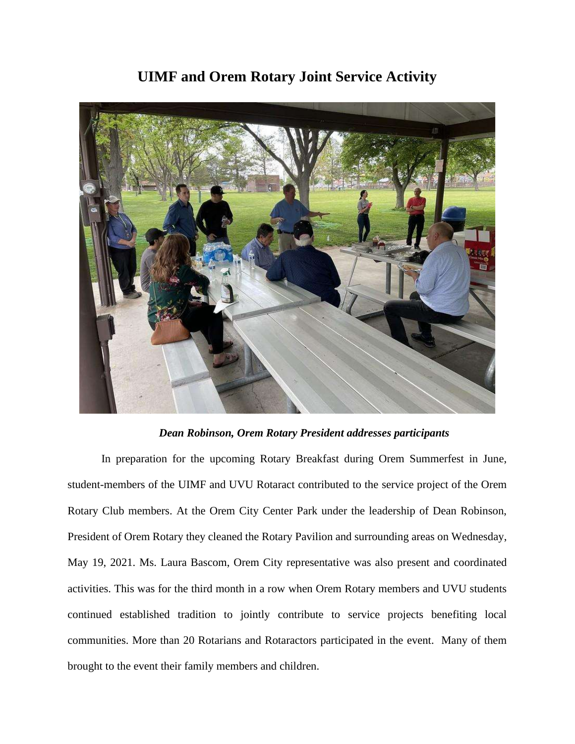## **UIMF and Orem Rotary Joint Service Activity**



## *Dean Robinson, Orem Rotary President addresses participants*

In preparation for the upcoming Rotary Breakfast during Orem Summerfest in June, student-members of the UIMF and UVU Rotaract contributed to the service project of the Orem Rotary Club members. At the Orem City Center Park under the leadership of Dean Robinson, President of Orem Rotary they cleaned the Rotary Pavilion and surrounding areas on Wednesday, May 19, 2021. Ms. Laura Bascom, Orem City representative was also present and coordinated activities. This was for the third month in a row when Orem Rotary members and UVU students continued established tradition to jointly contribute to service projects benefiting local communities. More than 20 Rotarians and Rotaractors participated in the event. Many of them brought to the event their family members and children.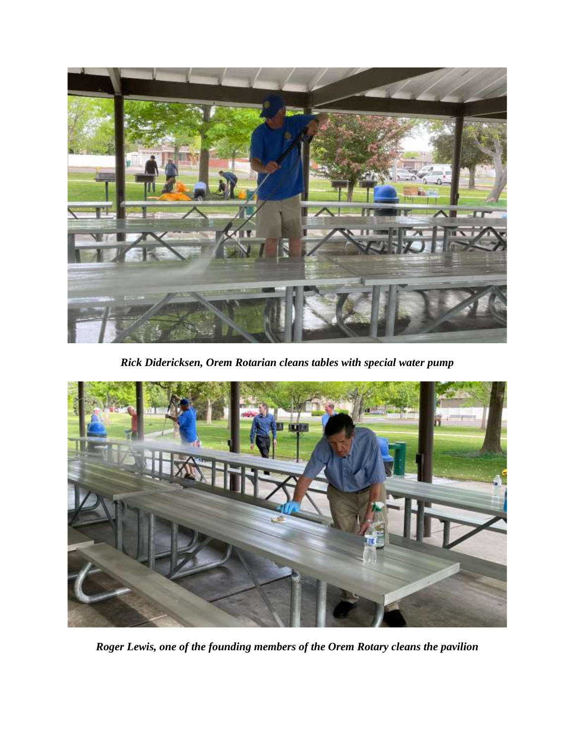

*Rick Didericksen, Orem Rotarian cleans tables with special water pump* 



*Roger Lewis, one of the founding members of the Orem Rotary cleans the pavilion*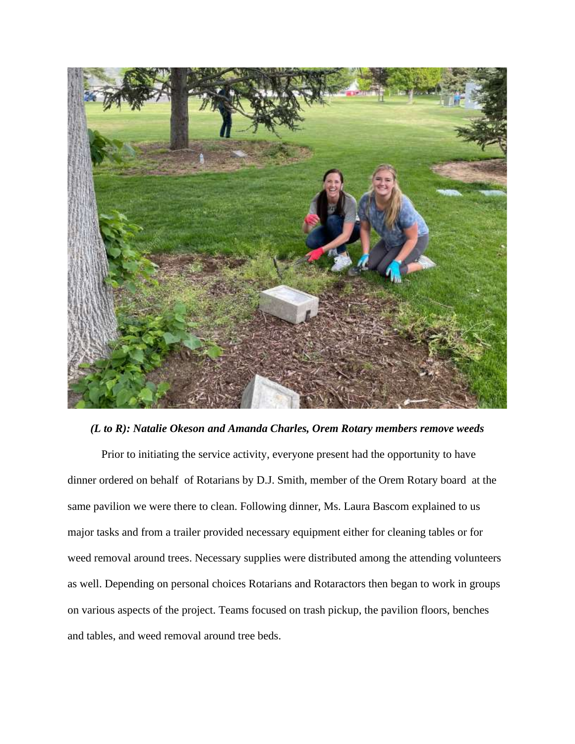

## *(L to R): Natalie Okeson and Amanda Charles, Orem Rotary members remove weeds*

Prior to initiating the service activity, everyone present had the opportunity to have dinner ordered on behalf of Rotarians by D.J. Smith, member of the Orem Rotary board at the same pavilion we were there to clean. Following dinner, Ms. Laura Bascom explained to us major tasks and from a trailer provided necessary equipment either for cleaning tables or for weed removal around trees. Necessary supplies were distributed among the attending volunteers as well. Depending on personal choices Rotarians and Rotaractors then began to work in groups on various aspects of the project. Teams focused on trash pickup, the pavilion floors, benches and tables, and weed removal around tree beds.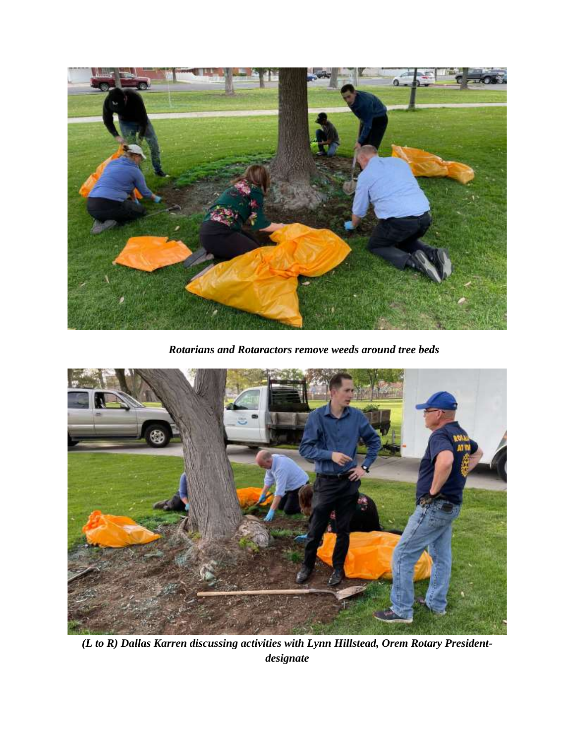

*Rotarians and Rotaractors remove weeds around tree beds*



*(L to R) Dallas Karren discussing activities with Lynn Hillstead, Orem Rotary Presidentdesignate*